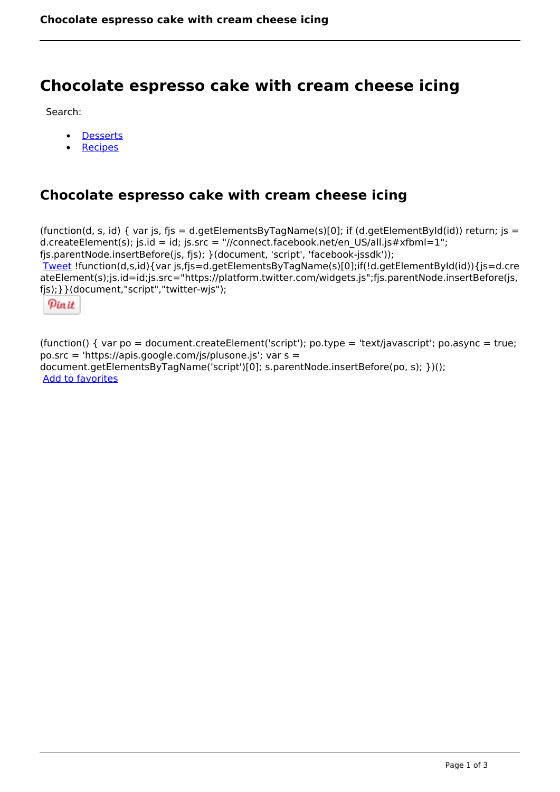# **Chocolate espresso cake with cream cheese icing**

Search:

- **[Desserts](https://www.naturalhealthmag.com.au/nourish/desserts)**  $\bullet$
- [Recipes](https://www.naturalhealthmag.com.au/nourish/recipes)

## **Chocolate espresso cake with cream cheese icing**

(function(d, s, id) { var js, fjs = d.getElementsByTagName(s)[0]; if (d.getElementById(id)) return; js = d.createElement(s); js.id = id; js.src = "//connect.facebook.net/en\_US/all.js#xfbml=1"; fjs.parentNode.insertBefore(js, fjs); }(document, 'script', 'facebook-jssdk')); [Tweet](https://twitter.com/share) !function(d,s,id){var js,fjs=d.getElementsByTagName(s)[0];if(!d.getElementById(id)){js=d.cre ateElement(s);js.id=id;js.src="https://platform.twitter.com/widgets.js";fjs.parentNode.insertBefore(js, fjs);}}(document,"script","twitter-wjs");

Pinit

(function() { var po = document.createElement('script'); po.type = 'text/javascript'; po.async = true; po.src = 'https://apis.google.com/js/plusone.js'; var s = document.getElementsByTagName('script')[0]; s.parentNode.insertBefore(po, s); })(); Add to favorites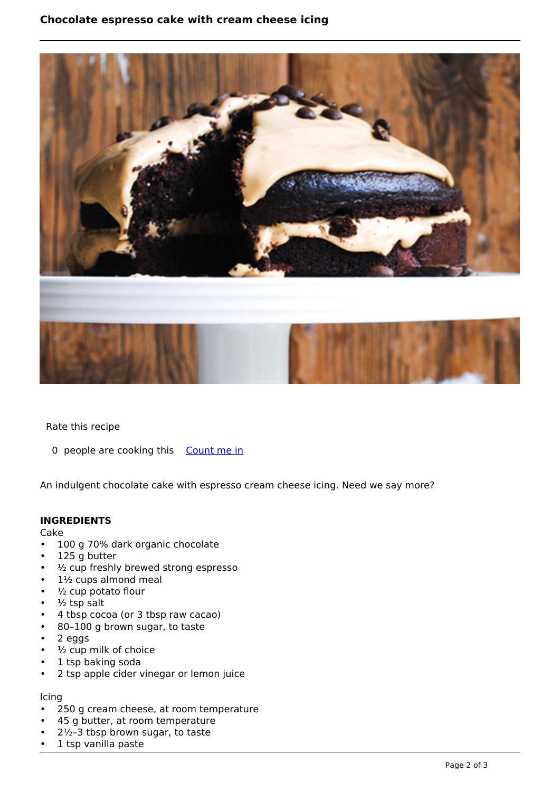### **Chocolate espresso cake with cream cheese icing**



Rate this recipe

0 people are cooking this [Count me in](https://www.naturalhealthmag.com.au/flag/flag/favorites/1787?destination=printpdf%2F1787&token=3525489373702cefa1c1714174939787)

An indulgent chocolate cake with espresso cream cheese icing. Need we say more?

#### **INGREDIENTS**

Cake

- 100 g 70% dark organic chocolate
- 125 g butter
- ½ cup freshly brewed strong espresso
- 1½ cups almond meal
- $\cdot$   $\frac{1}{2}$  cup potato flour
- $\cdot$   $\frac{1}{2}$  tsp salt
- 4 tbsp cocoa (or 3 tbsp raw cacao)
- 80–100 g brown sugar, to taste
- 2 eggs
- $\cdot$   $\frac{1}{2}$  cup milk of choice
- 1 tsp baking soda
- 2 tsp apple cider vinegar or lemon juice

#### Icing

- 250 g cream cheese, at room temperature
- 45 g butter, at room temperature
- $2\frac{1}{2}$ –3 tbsp brown sugar, to taste
- 1 tsp vanilla paste